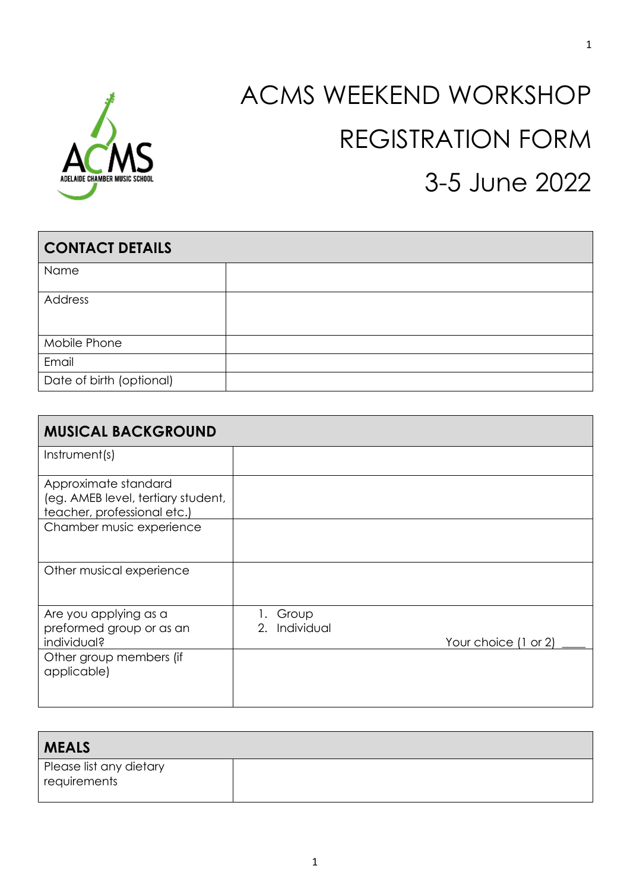

# ACMS WEEKEND WORKSHOP REGISTRATION FORM 3-5 June 2022

| <b>CONTACT DETAILS</b>   |  |  |
|--------------------------|--|--|
| Name                     |  |  |
| Address                  |  |  |
| Mobile Phone             |  |  |
| Email                    |  |  |
| Date of birth (optional) |  |  |

| <b>MUSICAL BACKGROUND</b>                                                                 |                        |                      |
|-------------------------------------------------------------------------------------------|------------------------|----------------------|
| Instrument(s)                                                                             |                        |                      |
| Approximate standard<br>(eg. AMEB level, tertiary student,<br>teacher, professional etc.) |                        |                      |
| Chamber music experience                                                                  |                        |                      |
| Other musical experience                                                                  |                        |                      |
| Are you applying as a<br>preformed group or as an<br>individual?                          | Group<br>2. Individual | Your choice (1 or 2) |
| Other group members (if<br>applicable)                                                    |                        |                      |

| <b>MEALS</b>            |  |
|-------------------------|--|
| Please list any dietary |  |
| requirements            |  |
|                         |  |